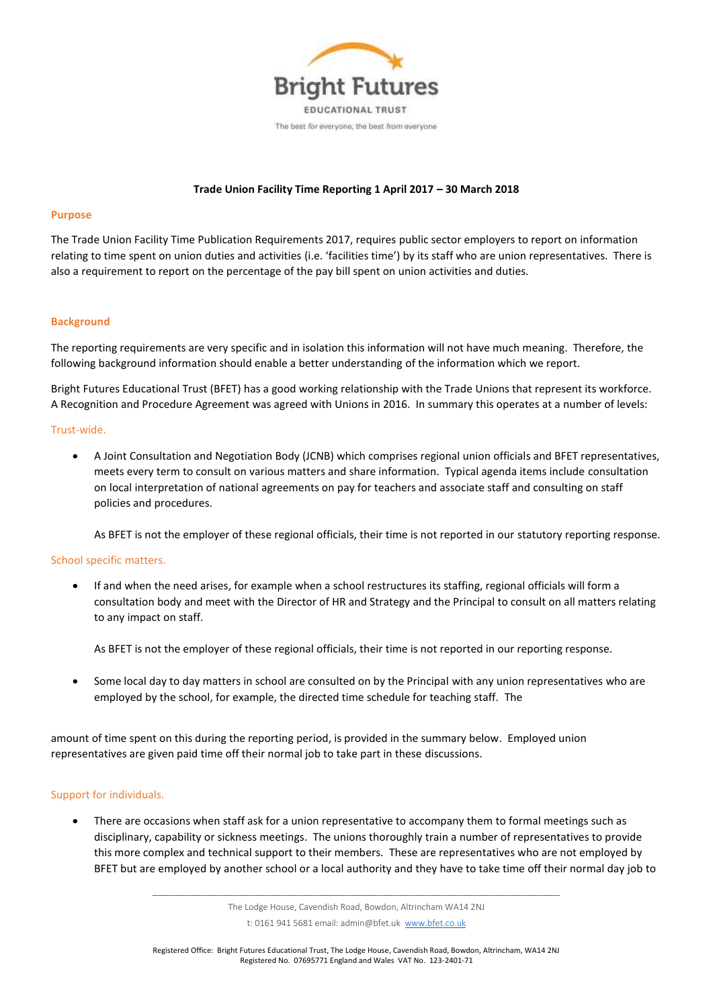

## **Trade Union Facility Time Reporting 1 April 2017 – 30 March 2018**

#### **Purpose**

The Trade Union Facility Time Publication Requirements 2017, requires public sector employers to report on information relating to time spent on union duties and activities (i.e. 'facilities time') by its staff who are union representatives. There is also a requirement to report on the percentage of the pay bill spent on union activities and duties.

#### **Background**

The reporting requirements are very specific and in isolation this information will not have much meaning. Therefore, the following background information should enable a better understanding of the information which we report.

Bright Futures Educational Trust (BFET) has a good working relationship with the Trade Unions that represent its workforce. A Recognition and Procedure Agreement was agreed with Unions in 2016. In summary this operates at a number of levels:

#### Trust-wide.

 A Joint Consultation and Negotiation Body (JCNB) which comprises regional union officials and BFET representatives, meets every term to consult on various matters and share information. Typical agenda items include consultation on local interpretation of national agreements on pay for teachers and associate staff and consulting on staff policies and procedures.

As BFET is not the employer of these regional officials, their time is not reported in our statutory reporting response.

#### School specific matters.

 If and when the need arises, for example when a school restructures its staffing, regional officials will form a consultation body and meet with the Director of HR and Strategy and the Principal to consult on all matters relating to any impact on staff.

As BFET is not the employer of these regional officials, their time is not reported in our reporting response.

 Some local day to day matters in school are consulted on by the Principal with any union representatives who are employed by the school, for example, the directed time schedule for teaching staff. The

amount of time spent on this during the reporting period, is provided in the summary below. Employed union representatives are given paid time off their normal job to take part in these discussions.

# Support for individuals.

 There are occasions when staff ask for a union representative to accompany them to formal meetings such as disciplinary, capability or sickness meetings. The unions thoroughly train a number of representatives to provide this more complex and technical support to their members. These are representatives who are not employed by BFET but are employed by another school or a local authority and they have to take time off their normal day job to

\_\_\_\_\_\_\_\_\_\_\_\_\_\_\_\_\_\_\_\_\_\_\_\_\_\_\_\_\_\_\_\_\_\_\_\_\_\_\_\_\_\_\_\_\_\_\_\_\_\_\_\_\_\_\_\_\_\_\_\_\_\_\_\_\_\_\_\_\_\_\_\_\_\_\_\_